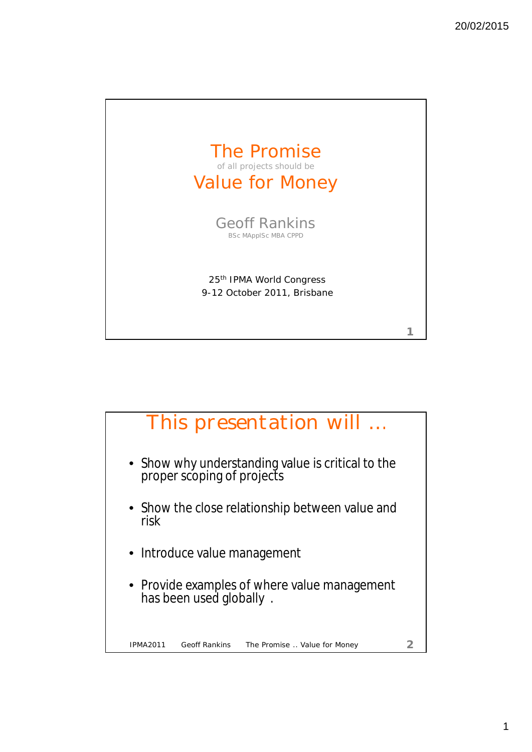

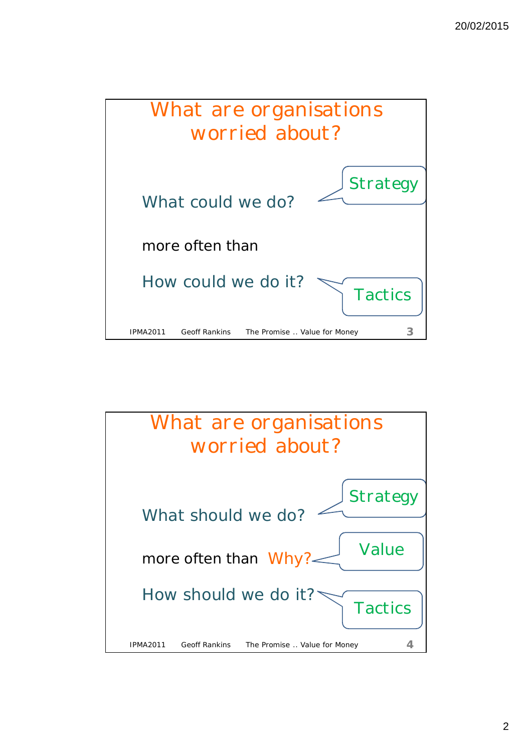

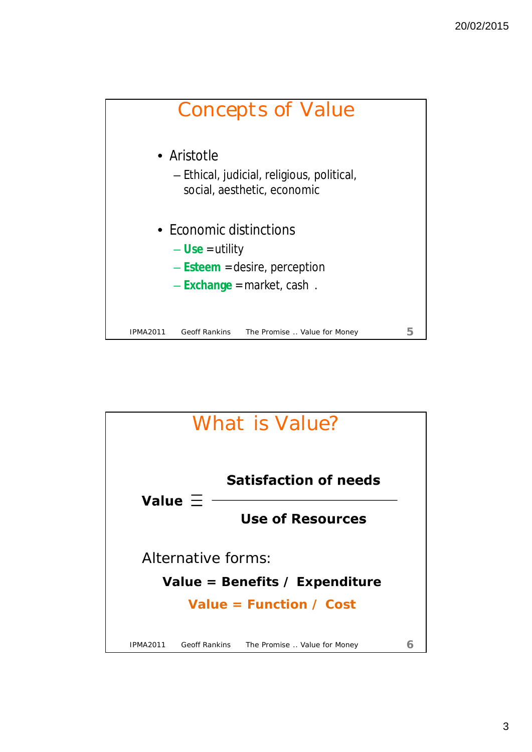

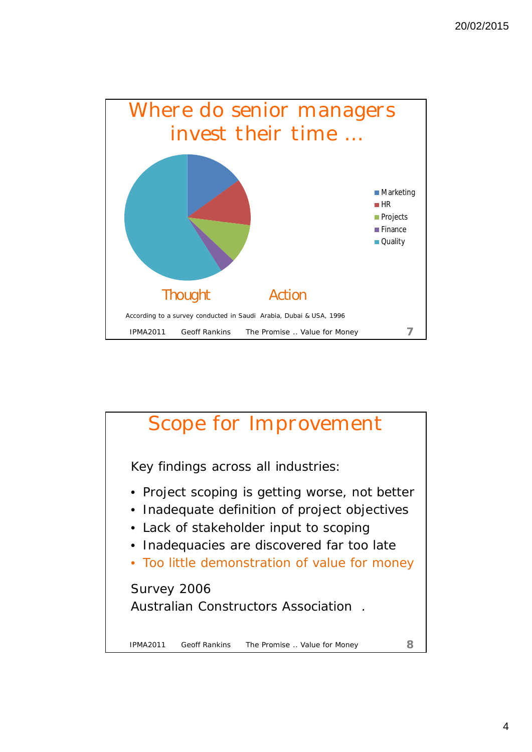

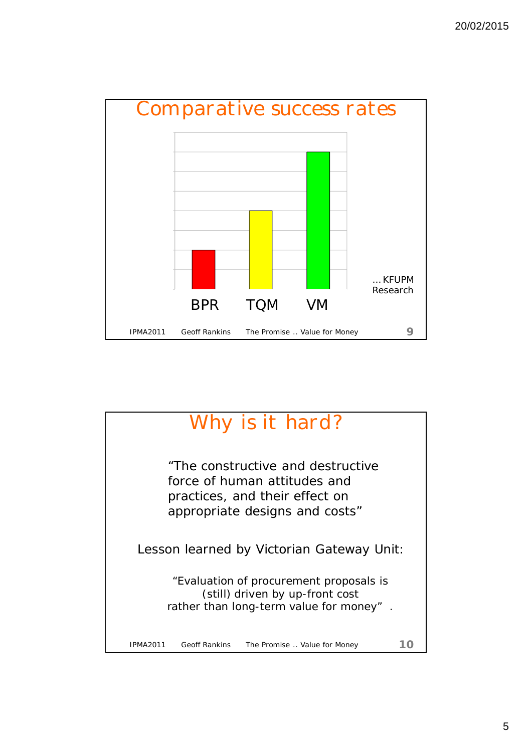

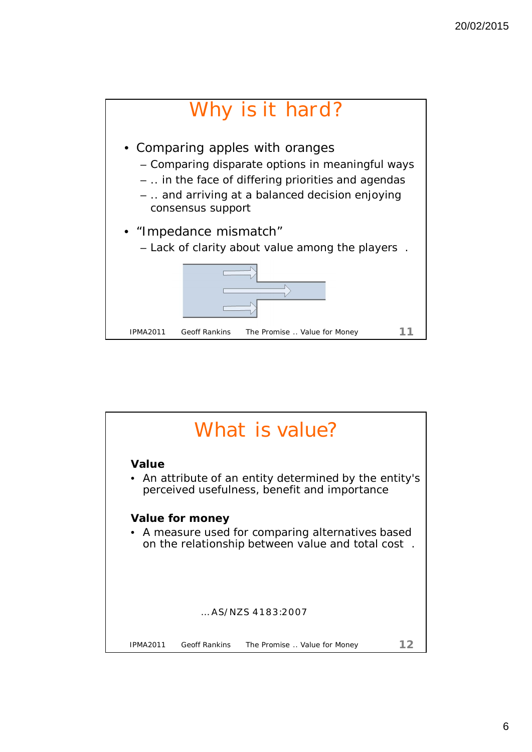

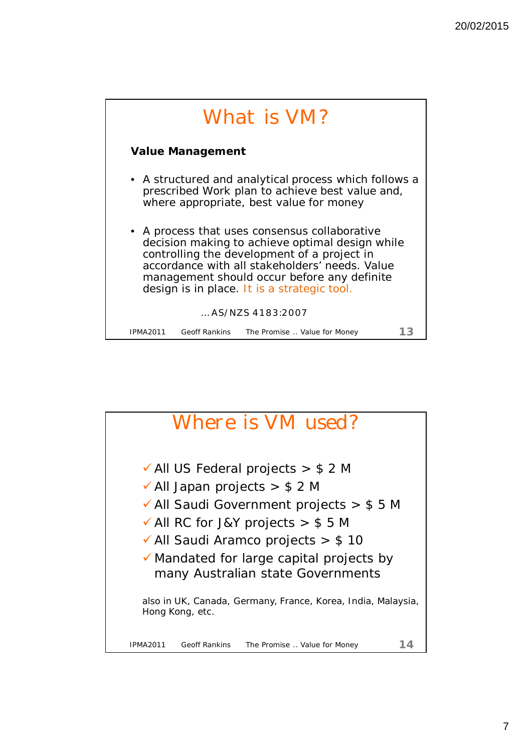

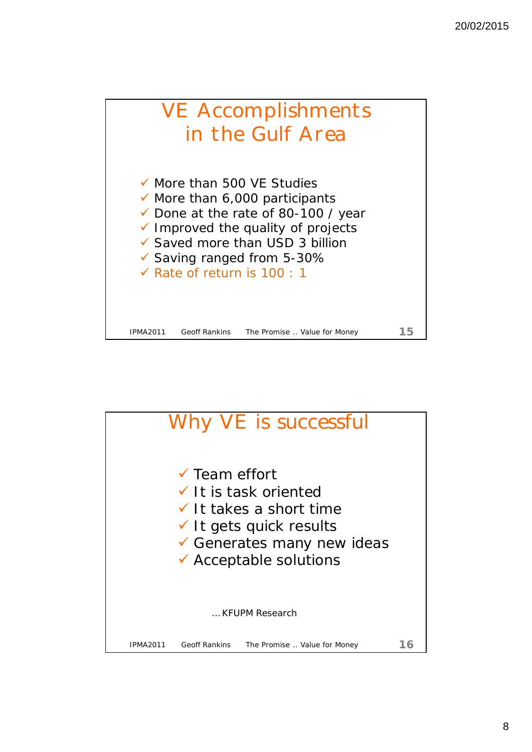

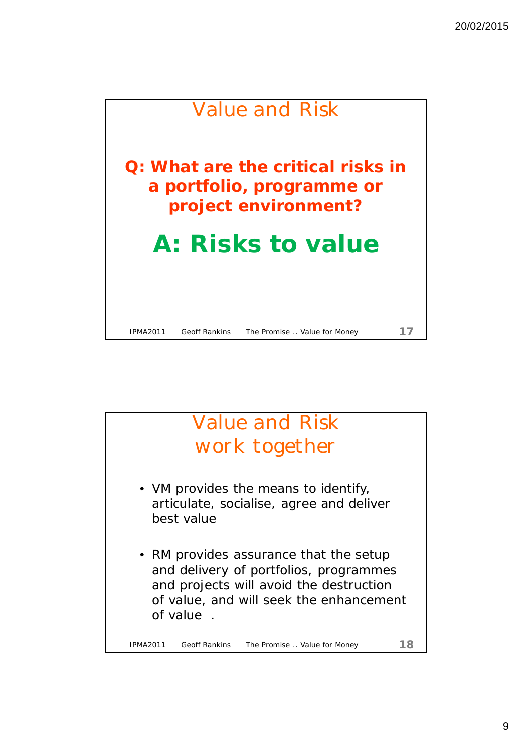

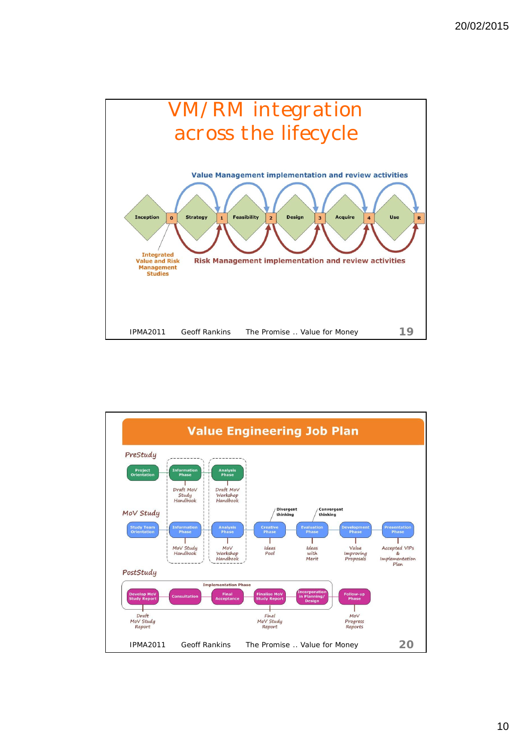

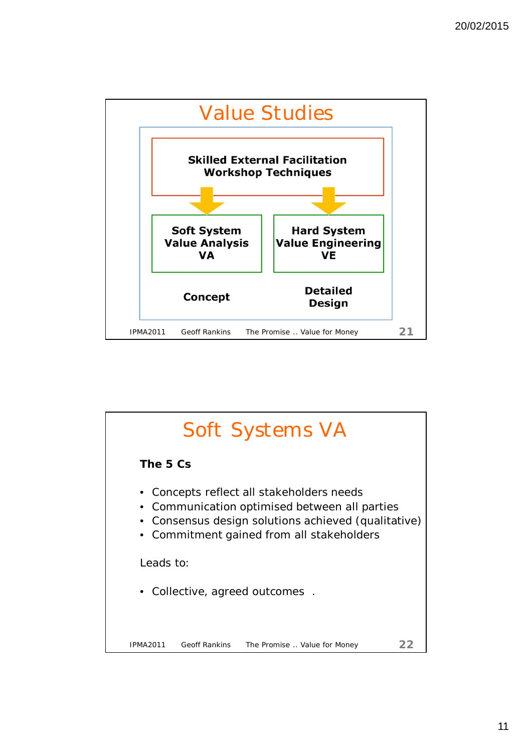

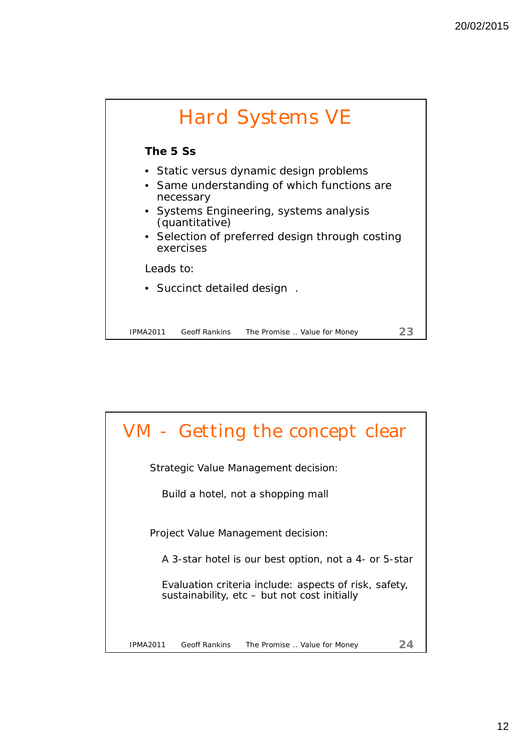

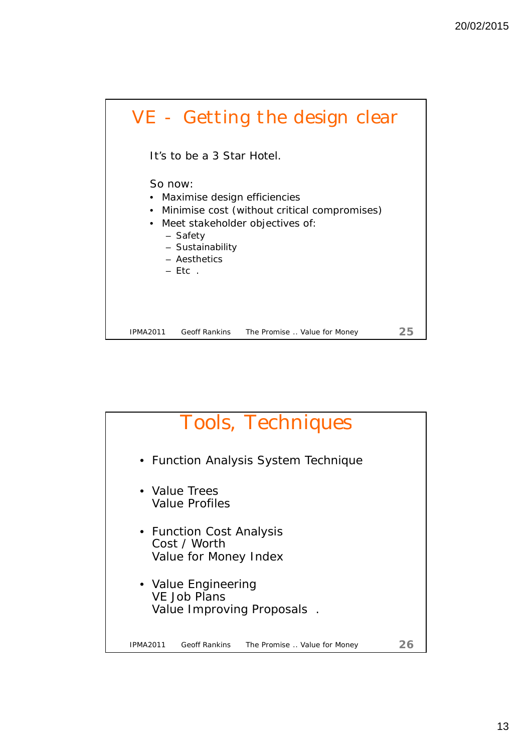

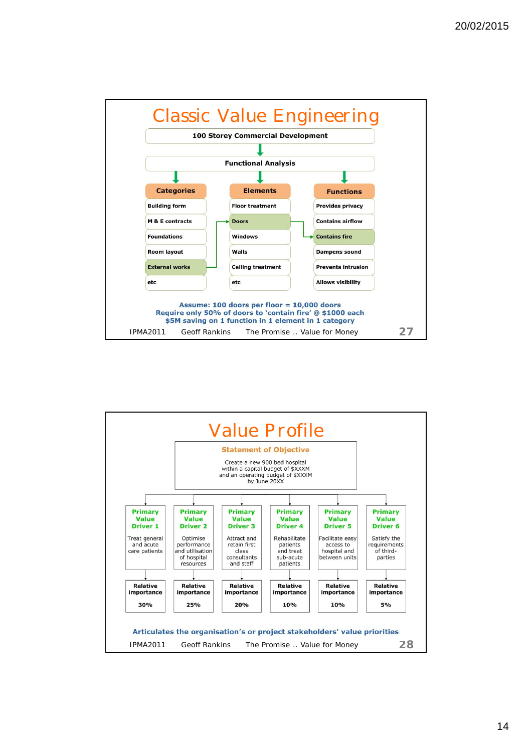

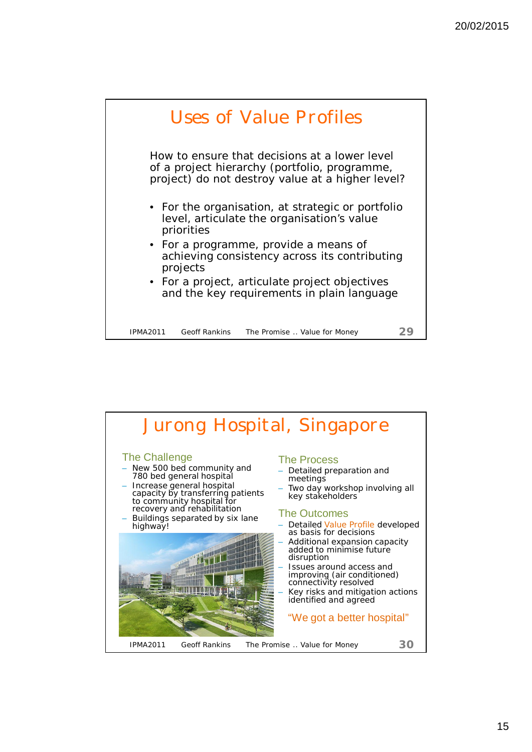

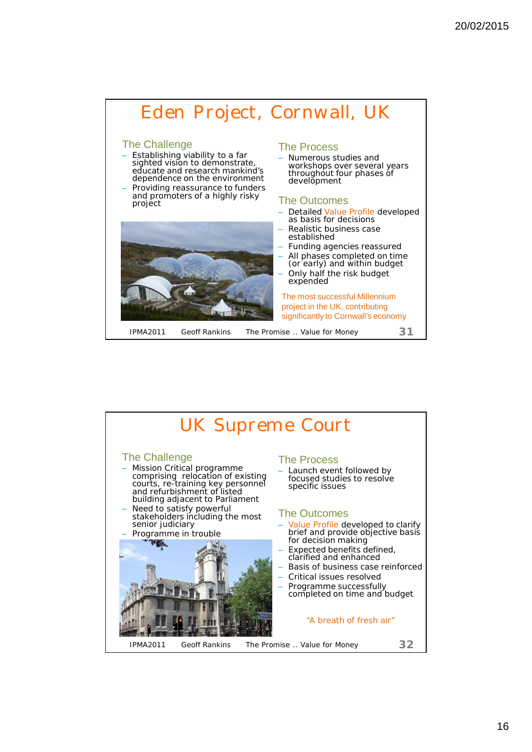

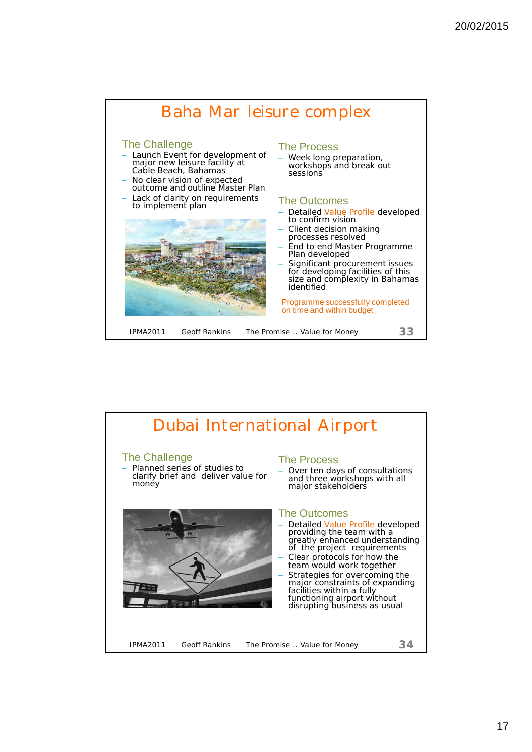